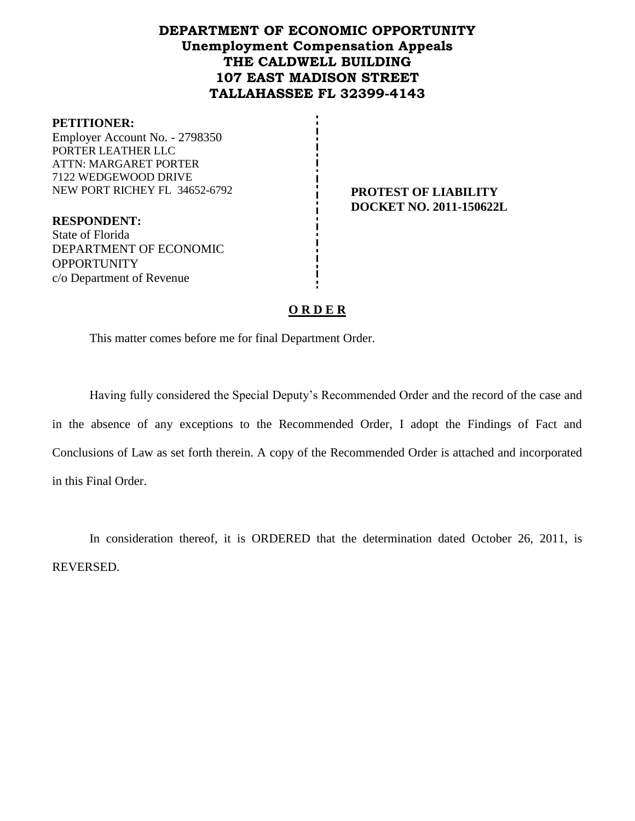# **DEPARTMENT OF ECONOMIC OPPORTUNITY Unemployment Compensation Appeals THE CALDWELL BUILDING 107 EAST MADISON STREET TALLAHASSEE FL 32399-4143**

#### **PETITIONER:**

Employer Account No. - 2798350 PORTER LEATHER LLC ATTN: MARGARET PORTER 7122 WEDGEWOOD DRIVE NEW PORT RICHEY FL 34652-6792 **PROTEST OF LIABILITY** 

**DOCKET NO. 2011-150622L**

**RESPONDENT:** State of Florida DEPARTMENT OF ECONOMIC **OPPORTUNITY** c/o Department of Revenue

#### **O R D E R**

This matter comes before me for final Department Order.

Having fully considered the Special Deputy's Recommended Order and the record of the case and in the absence of any exceptions to the Recommended Order, I adopt the Findings of Fact and Conclusions of Law as set forth therein. A copy of the Recommended Order is attached and incorporated in this Final Order.

In consideration thereof, it is ORDERED that the determination dated October 26, 2011, is REVERSED.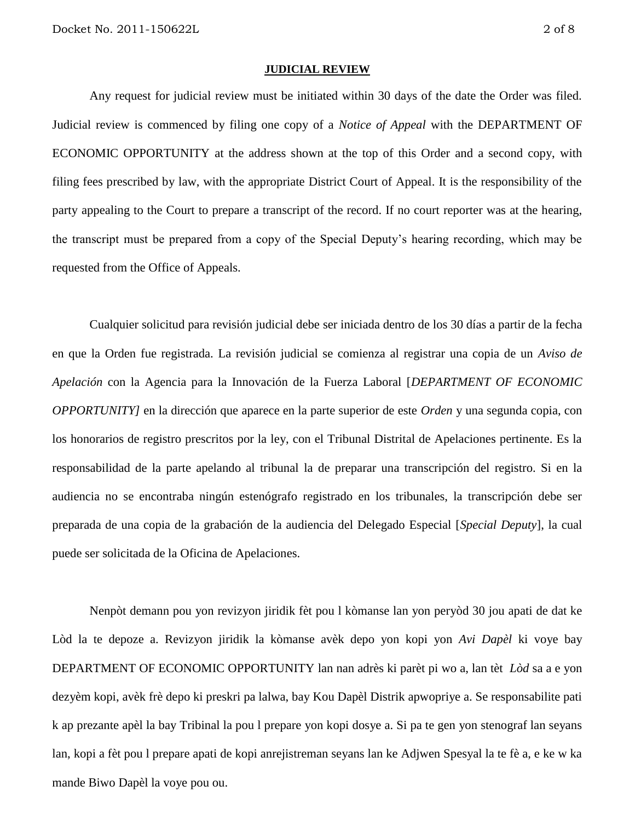#### **JUDICIAL REVIEW**

Any request for judicial review must be initiated within 30 days of the date the Order was filed. Judicial review is commenced by filing one copy of a *Notice of Appeal* with the DEPARTMENT OF ECONOMIC OPPORTUNITY at the address shown at the top of this Order and a second copy, with filing fees prescribed by law, with the appropriate District Court of Appeal. It is the responsibility of the party appealing to the Court to prepare a transcript of the record. If no court reporter was at the hearing, the transcript must be prepared from a copy of the Special Deputy's hearing recording, which may be requested from the Office of Appeals.

Cualquier solicitud para revisión judicial debe ser iniciada dentro de los 30 días a partir de la fecha en que la Orden fue registrada. La revisión judicial se comienza al registrar una copia de un *Aviso de Apelación* con la Agencia para la Innovación de la Fuerza Laboral [*DEPARTMENT OF ECONOMIC OPPORTUNITY]* en la dirección que aparece en la parte superior de este *Orden* y una segunda copia, con los honorarios de registro prescritos por la ley, con el Tribunal Distrital de Apelaciones pertinente. Es la responsabilidad de la parte apelando al tribunal la de preparar una transcripción del registro. Si en la audiencia no se encontraba ningún estenógrafo registrado en los tribunales, la transcripción debe ser preparada de una copia de la grabación de la audiencia del Delegado Especial [*Special Deputy*], la cual puede ser solicitada de la Oficina de Apelaciones.

Nenpòt demann pou yon revizyon jiridik fèt pou l kòmanse lan yon peryòd 30 jou apati de dat ke Lòd la te depoze a. Revizyon jiridik la kòmanse avèk depo yon kopi yon *Avi Dapèl* ki voye bay DEPARTMENT OF ECONOMIC OPPORTUNITY lan nan adrès ki parèt pi wo a, lan tèt *Lòd* sa a e yon dezyèm kopi, avèk frè depo ki preskri pa lalwa, bay Kou Dapèl Distrik apwopriye a. Se responsabilite pati k ap prezante apèl la bay Tribinal la pou l prepare yon kopi dosye a. Si pa te gen yon stenograf lan seyans lan, kopi a fèt pou l prepare apati de kopi anrejistreman seyans lan ke Adjwen Spesyal la te fè a, e ke w ka mande Biwo Dapèl la voye pou ou.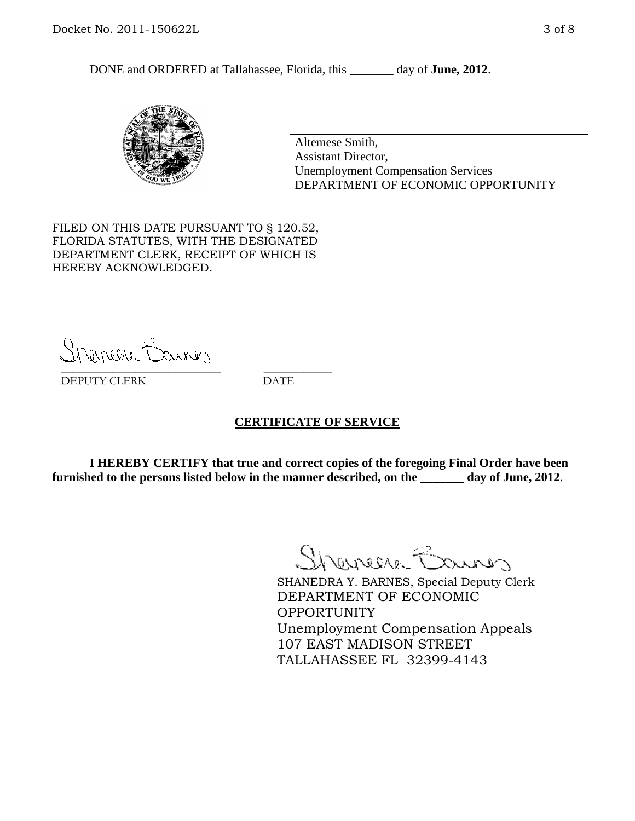DONE and ORDERED at Tallahassee, Florida, this day of **June, 2012**.



Altemese Smith, Assistant Director, Unemployment Compensation Services DEPARTMENT OF ECONOMIC OPPORTUNITY

FILED ON THIS DATE PURSUANT TO § 120.52, FLORIDA STATUTES, WITH THE DESIGNATED DEPARTMENT CLERK, RECEIPT OF WHICH IS HEREBY ACKNOWLEDGED.

Shanera Baurer \_\_\_\_\_\_\_\_\_\_\_\_\_\_\_\_\_\_\_\_\_\_\_\_\_\_\_\_ \_\_\_\_\_\_\_\_\_\_\_\_

DEPUTY CLERK DATE

#### **CERTIFICATE OF SERVICE**

**I HEREBY CERTIFY that true and correct copies of the foregoing Final Order have been furnished to the persons listed below in the manner described, on the \_\_\_\_\_\_\_ day of June, 2012**.

Shanes Baures

SHANEDRA Y. BARNES, Special Deputy Clerk DEPARTMENT OF ECONOMIC **OPPORTUNITY** Unemployment Compensation Appeals 107 EAST MADISON STREET TALLAHASSEE FL 32399-4143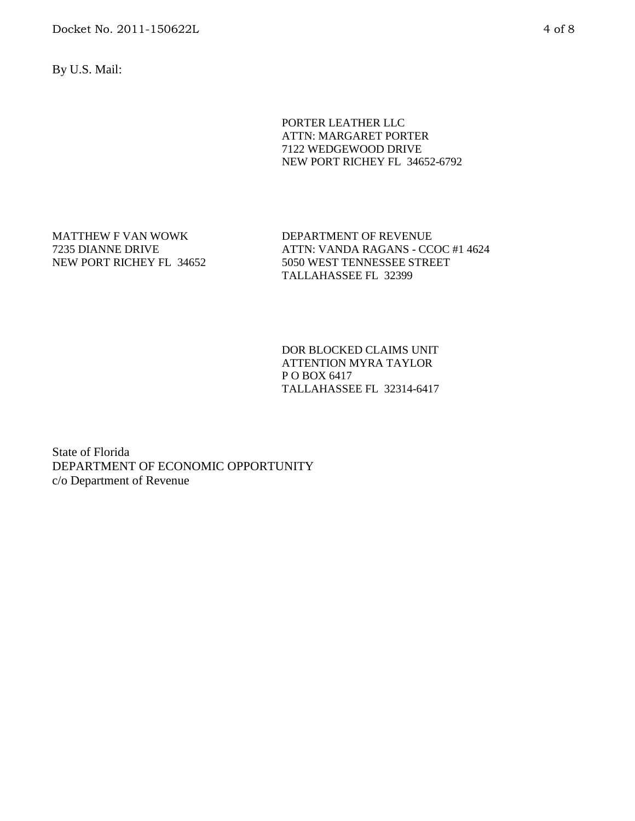Docket No. 2011-150622L 4 of 8

By U.S. Mail:

PORTER LEATHER LLC ATTN: MARGARET PORTER 7122 WEDGEWOOD DRIVE NEW PORT RICHEY FL 34652-6792

MATTHEW F VAN WOWK 7235 DIANNE DRIVE NEW PORT RICHEY FL 34652 DEPARTMENT OF REVENUE ATTN: VANDA RAGANS - CCOC #1 4624 5050 WEST TENNESSEE STREET TALLAHASSEE FL 32399

DOR BLOCKED CLAIMS UNIT ATTENTION MYRA TAYLOR P O BOX 6417 TALLAHASSEE FL 32314-6417

State of Florida DEPARTMENT OF ECONOMIC OPPORTUNITY c/o Department of Revenue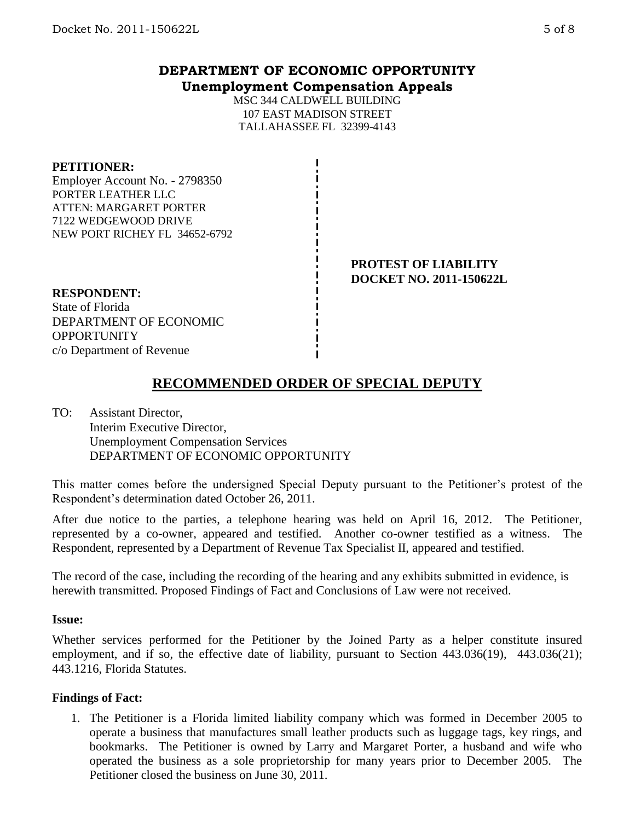## **DEPARTMENT OF ECONOMIC OPPORTUNITY Unemployment Compensation Appeals**

MSC 344 CALDWELL BUILDING 107 EAST MADISON STREET TALLAHASSEE FL 32399-4143

#### **PETITIONER:**

Employer Account No. - 2798350 PORTER LEATHER LLC ATTEN: MARGARET PORTER 7122 WEDGEWOOD DRIVE NEW PORT RICHEY FL 34652-6792

> **PROTEST OF LIABILITY DOCKET NO. 2011-150622L**

#### **RESPONDENT:**

State of Florida DEPARTMENT OF ECONOMIC **OPPORTUNITY** c/o Department of Revenue

# **RECOMMENDED ORDER OF SPECIAL DEPUTY**

TO: Assistant Director, Interim Executive Director, Unemployment Compensation Services DEPARTMENT OF ECONOMIC OPPORTUNITY

This matter comes before the undersigned Special Deputy pursuant to the Petitioner's protest of the Respondent's determination dated October 26, 2011.

After due notice to the parties, a telephone hearing was held on April 16, 2012. The Petitioner, represented by a co-owner, appeared and testified. Another co-owner testified as a witness. The Respondent, represented by a Department of Revenue Tax Specialist II, appeared and testified.

The record of the case, including the recording of the hearing and any exhibits submitted in evidence, is herewith transmitted. Proposed Findings of Fact and Conclusions of Law were not received.

#### **Issue:**

Whether services performed for the Petitioner by the Joined Party as a helper constitute insured employment, and if so, the effective date of liability, pursuant to Section 443.036(19), 443.036(21); 443.1216, Florida Statutes.

## **Findings of Fact:**

1. The Petitioner is a Florida limited liability company which was formed in December 2005 to operate a business that manufactures small leather products such as luggage tags, key rings, and bookmarks. The Petitioner is owned by Larry and Margaret Porter, a husband and wife who operated the business as a sole proprietorship for many years prior to December 2005. The Petitioner closed the business on June 30, 2011.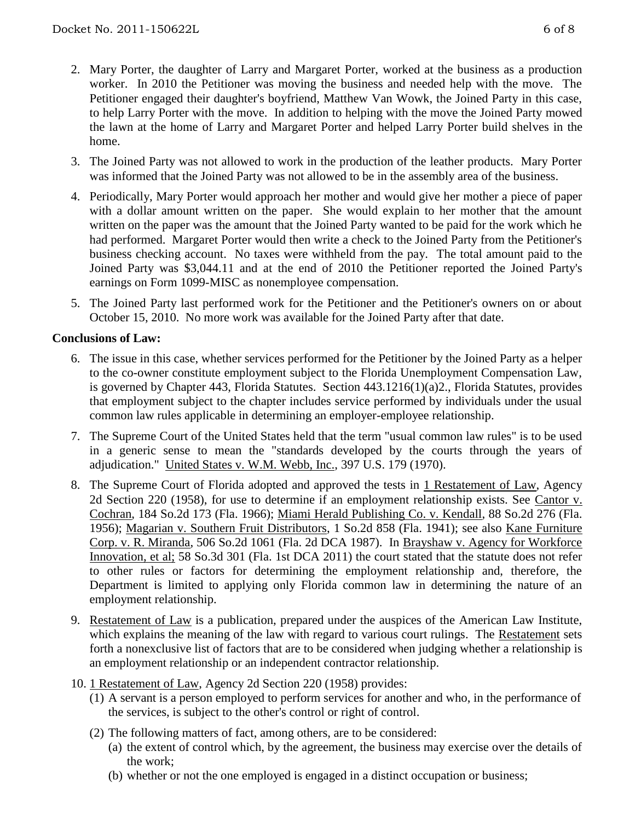- 2. Mary Porter, the daughter of Larry and Margaret Porter, worked at the business as a production worker. In 2010 the Petitioner was moving the business and needed help with the move. The Petitioner engaged their daughter's boyfriend, Matthew Van Wowk, the Joined Party in this case, to help Larry Porter with the move. In addition to helping with the move the Joined Party mowed the lawn at the home of Larry and Margaret Porter and helped Larry Porter build shelves in the home.
- 3. The Joined Party was not allowed to work in the production of the leather products. Mary Porter was informed that the Joined Party was not allowed to be in the assembly area of the business.
- 4. Periodically, Mary Porter would approach her mother and would give her mother a piece of paper with a dollar amount written on the paper. She would explain to her mother that the amount written on the paper was the amount that the Joined Party wanted to be paid for the work which he had performed. Margaret Porter would then write a check to the Joined Party from the Petitioner's business checking account. No taxes were withheld from the pay. The total amount paid to the Joined Party was \$3,044.11 and at the end of 2010 the Petitioner reported the Joined Party's earnings on Form 1099-MISC as nonemployee compensation.
- 5. The Joined Party last performed work for the Petitioner and the Petitioner's owners on or about October 15, 2010. No more work was available for the Joined Party after that date.

## **Conclusions of Law:**

- 6. The issue in this case, whether services performed for the Petitioner by the Joined Party as a helper to the co-owner constitute employment subject to the Florida Unemployment Compensation Law, is governed by Chapter 443, Florida Statutes. Section 443.1216(1)(a)2., Florida Statutes, provides that employment subject to the chapter includes service performed by individuals under the usual common law rules applicable in determining an employer-employee relationship.
- 7. The Supreme Court of the United States held that the term "usual common law rules" is to be used in a generic sense to mean the "standards developed by the courts through the years of adjudication." United States v. W.M. Webb, Inc., 397 U.S. 179 (1970).
- 8. The Supreme Court of Florida adopted and approved the tests in 1 Restatement of Law, Agency 2d Section 220 (1958), for use to determine if an employment relationship exists. See Cantor v. Cochran, 184 So.2d 173 (Fla. 1966); Miami Herald Publishing Co. v. Kendall, 88 So.2d 276 (Fla. 1956); Magarian v. Southern Fruit Distributors, 1 So.2d 858 (Fla. 1941); see also Kane Furniture Corp. v. R. Miranda, 506 So.2d 1061 (Fla. 2d DCA 1987). In Brayshaw v. Agency for Workforce Innovation, et al; 58 So.3d 301 (Fla. 1st DCA 2011) the court stated that the statute does not refer to other rules or factors for determining the employment relationship and, therefore, the Department is limited to applying only Florida common law in determining the nature of an employment relationship.
- 9. Restatement of Law is a publication, prepared under the auspices of the American Law Institute, which explains the meaning of the law with regard to various court rulings. The Restatement sets forth a nonexclusive list of factors that are to be considered when judging whether a relationship is an employment relationship or an independent contractor relationship.
- 10. 1 Restatement of Law, Agency 2d Section 220 (1958) provides:
	- (1) A servant is a person employed to perform services for another and who, in the performance of the services, is subject to the other's control or right of control.
	- (2) The following matters of fact, among others, are to be considered:
		- (a) the extent of control which, by the agreement, the business may exercise over the details of the work;
		- (b) whether or not the one employed is engaged in a distinct occupation or business;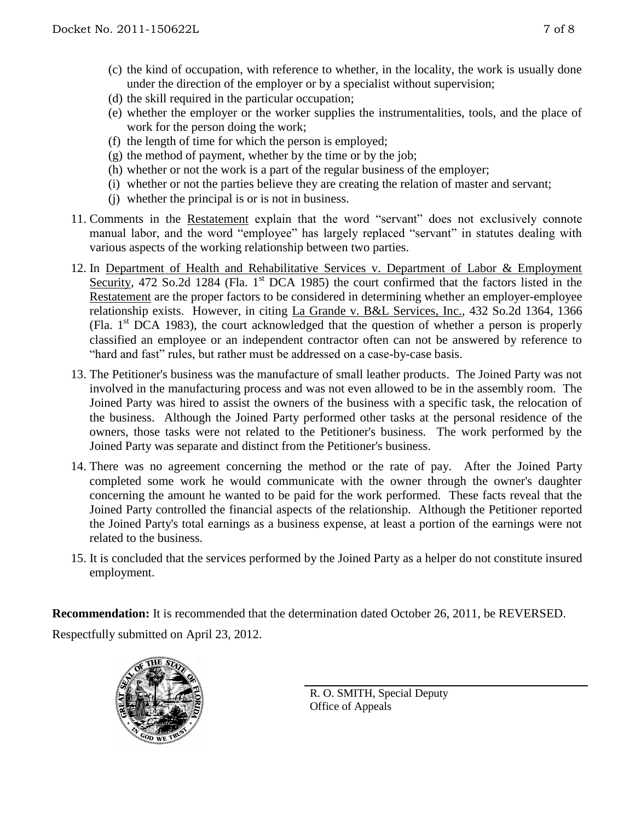- (c) the kind of occupation, with reference to whether, in the locality, the work is usually done under the direction of the employer or by a specialist without supervision;
- (d) the skill required in the particular occupation;
- (e) whether the employer or the worker supplies the instrumentalities, tools, and the place of work for the person doing the work;
- (f) the length of time for which the person is employed;
- $(g)$  the method of payment, whether by the time or by the job;
- (h) whether or not the work is a part of the regular business of the employer;
- (i) whether or not the parties believe they are creating the relation of master and servant;
- (j) whether the principal is or is not in business.
- 11. Comments in the Restatement explain that the word "servant" does not exclusively connote manual labor, and the word "employee" has largely replaced "servant" in statutes dealing with various aspects of the working relationship between two parties.
- 12. In Department of Health and Rehabilitative Services v. Department of Labor & Employment Security, 472 So.2d 1284 (Fla. 1<sup>st</sup> DCA 1985) the court confirmed that the factors listed in the Restatement are the proper factors to be considered in determining whether an employer-employee relationship exists. However, in citing La Grande v. B&L Services, Inc., 432 So.2d 1364, 1366 (Fla.  $1<sup>st</sup> DCA$  1983), the court acknowledged that the question of whether a person is properly classified an employee or an independent contractor often can not be answered by reference to "hard and fast" rules, but rather must be addressed on a case-by-case basis.
- 13. The Petitioner's business was the manufacture of small leather products. The Joined Party was not involved in the manufacturing process and was not even allowed to be in the assembly room. The Joined Party was hired to assist the owners of the business with a specific task, the relocation of the business. Although the Joined Party performed other tasks at the personal residence of the owners, those tasks were not related to the Petitioner's business. The work performed by the Joined Party was separate and distinct from the Petitioner's business.
- 14. There was no agreement concerning the method or the rate of pay. After the Joined Party completed some work he would communicate with the owner through the owner's daughter concerning the amount he wanted to be paid for the work performed. These facts reveal that the Joined Party controlled the financial aspects of the relationship. Although the Petitioner reported the Joined Party's total earnings as a business expense, at least a portion of the earnings were not related to the business.
- 15. It is concluded that the services performed by the Joined Party as a helper do not constitute insured employment.

**Recommendation:** It is recommended that the determination dated October 26, 2011, be REVERSED. Respectfully submitted on April 23, 2012.



R. O. SMITH, Special Deputy Office of Appeals